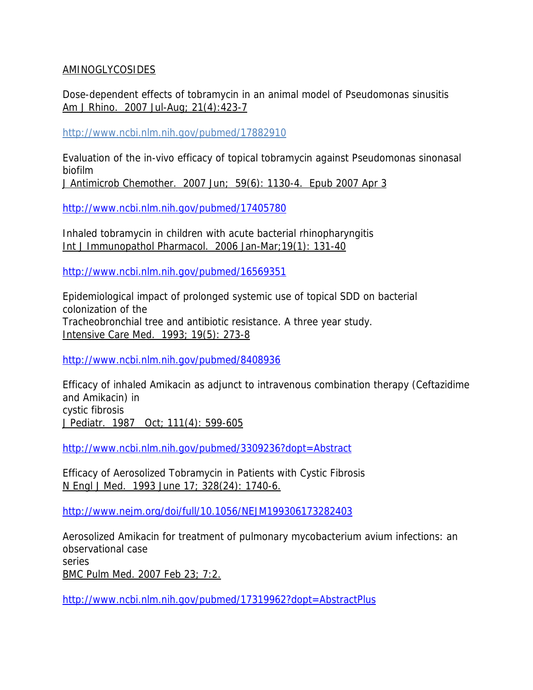## AMINOGLYCOSIDES

Dose-dependent effects of tobramycin in an animal model of Pseudomonas sinusitis Am J Rhino. 2007 Jul-Aug; 21(4):423-7

http://www.ncbi.nlm.nih.gov/pubmed/17882910

Evaluation of the in-vivo efficacy of topical tobramycin against Pseudomonas sinonasal biofilm

J Antimicrob Chemother. 2007 Jun; 59(6): 1130-4. Epub 2007 Apr 3

http://www.ncbi.nlm.nih.gov/pubmed/17405780

Inhaled tobramycin in children with acute bacterial rhinopharyngitis Int J Immunopathol Pharmacol. 2006 Jan-Mar;19(1): 131-40

http://www.ncbi.nlm.nih.gov/pubmed/16569351

Epidemiological impact of prolonged systemic use of topical SDD on bacterial colonization of the Tracheobronchial tree and antibiotic resistance. A three year study. Intensive Care Med. 1993; 19(5): 273-8

http://www.ncbi.nlm.nih.gov/pubmed/8408936

Efficacy of inhaled Amikacin as adjunct to intravenous combination therapy (Ceftazidime and Amikacin) in cystic fibrosis J Pediatr. 1987 Oct; 111(4): 599-605

http://www.ncbi.nlm.nih.gov/pubmed/3309236?dopt=Abstract

Efficacy of Aerosolized Tobramycin in Patients with Cystic Fibrosis N Engl J Med. 1993 June 17; 328(24): 1740-6.

http://www.nejm.org/doi/full/10.1056/NEJM199306173282403

Aerosolized Amikacin for treatment of pulmonary mycobacterium avium infections: an observational case series BMC Pulm Med. 2007 Feb 23; 7:2.

http://www.ncbi.nlm.nih.gov/pubmed/17319962?dopt=AbstractPlus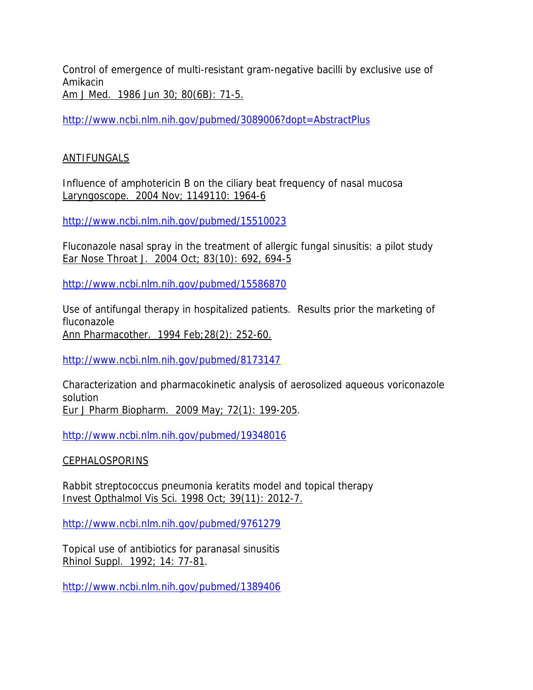Control of emergence of multi-resistant gram-negative bacilli by exclusive use of Amikacin

Am J Med. 1986 Jun 30; 80(6B): 71-5.

http://www.ncbi.nlm.nih.gov/pubmed/3089006?dopt=AbstractPlus

## **ANTIFUNGALS**

Influence of amphotericin B on the ciliary beat frequency of nasal mucosa Laryngoscope. 2004 Nov; 1149110: 1964-6

http://www.ncbi.nlm.nih.gov/pubmed/15510023

Fluconazole nasal spray in the treatment of allergic fungal sinusitis: a pilot study Ear Nose Throat J. 2004 Oct; 83(10): 692, 694-5

http://www.ncbi.nlm.nih.gov/pubmed/15586870

Use of antifungal therapy in hospitalized patients. Results prior the marketing of fluconazole Ann Pharmacother. 1994 Feb;28(2): 252-60.

http://www.ncbi.nlm.nih.gov/pubmed/8173147

Characterization and pharmacokinetic analysis of aerosolized aqueous voriconazole solution Eur J Pharm Biopharm. 2009 May; 72(1): 199-205.

http://www.ncbi.nlm.nih.gov/pubmed/19348016

### CEPHALOSPORINS

Rabbit streptococcus pneumonia keratits model and topical therapy Invest Opthalmol Vis Sci. 1998 Oct; 39(11): 2012-7.

http://www.ncbi.nlm.nih.gov/pubmed/9761279

Topical use of antibiotics for paranasal sinusitis Rhinol Suppl. 1992; 14: 77-81.

http://www.ncbi.nlm.nih.gov/pubmed/1389406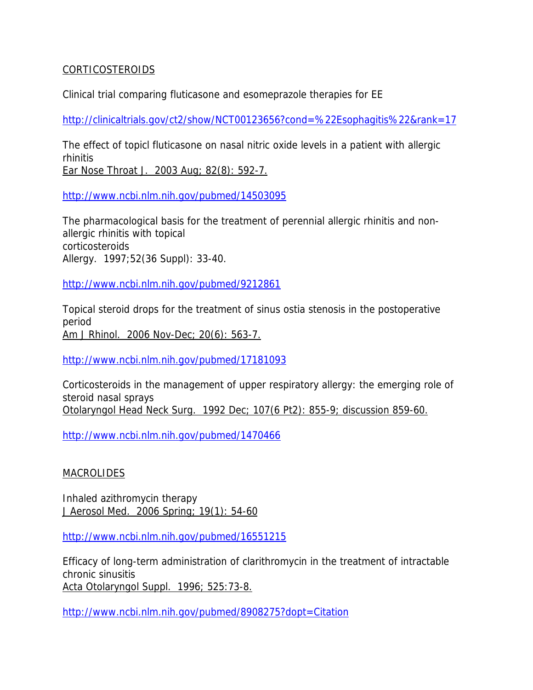### CORTICOSTEROIDS

Clinical trial comparing fluticasone and esomeprazole therapies for EE

http://clinicaltrials.gov/ct2/show/NCT00123656?cond=%22Esophagitis%22&rank=17

The effect of topicl fluticasone on nasal nitric oxide levels in a patient with allergic rhinitis Ear Nose Throat J. 2003 Aug; 82(8): 592-7.

http://www.ncbi.nlm.nih.gov/pubmed/14503095

The pharmacological basis for the treatment of perennial allergic rhinitis and nonallergic rhinitis with topical corticosteroids Allergy. 1997;52(36 Suppl): 33-40.

http://www.ncbi.nlm.nih.gov/pubmed/9212861

Topical steroid drops for the treatment of sinus ostia stenosis in the postoperative period Am J Rhinol. 2006 Nov-Dec; 20(6): 563-7.

http://www.ncbi.nlm.nih.gov/pubmed/17181093

Corticosteroids in the management of upper respiratory allergy: the emerging role of steroid nasal sprays Otolaryngol Head Neck Surg. 1992 Dec; 107(6 Pt2): 855-9; discussion 859-60.

http://www.ncbi.nlm.nih.gov/pubmed/1470466

**MACROLIDES** 

Inhaled azithromycin therapy J Aerosol Med. 2006 Spring; 19(1): 54-60

http://www.ncbi.nlm.nih.gov/pubmed/16551215

Efficacy of long-term administration of clarithromycin in the treatment of intractable chronic sinusitis Acta Otolaryngol Suppl. 1996; 525:73-8.

http://www.ncbi.nlm.nih.gov/pubmed/8908275?dopt=Citation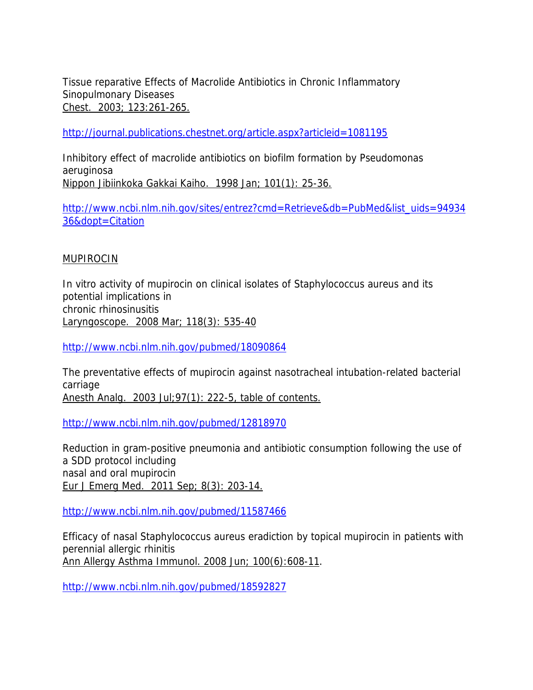Tissue reparative Effects of Macrolide Antibiotics in Chronic Inflammatory Sinopulmonary Diseases Chest. 2003; 123:261-265.

http://journal.publications.chestnet.org/article.aspx?articleid=1081195

Inhibitory effect of macrolide antibiotics on biofilm formation by Pseudomonas aeruginosa Nippon Jibiinkoka Gakkai Kaiho. 1998 Jan; 101(1): 25-36.

http://www.ncbi.nlm.nih.gov/sites/entrez?cmd=Retrieve&db=PubMed&list\_uids=94934 36&dopt=Citation

#### MUPIROCIN

In vitro activity of mupirocin on clinical isolates of Staphylococcus aureus and its potential implications in chronic rhinosinusitis Laryngoscope. 2008 Mar; 118(3): 535-40

http://www.ncbi.nlm.nih.gov/pubmed/18090864

The preventative effects of mupirocin against nasotracheal intubation-related bacterial carriage Anesth Analg. 2003 Jul;97(1): 222-5, table of contents.

http://www.ncbi.nlm.nih.gov/pubmed/12818970

Reduction in gram-positive pneumonia and antibiotic consumption following the use of a SDD protocol including nasal and oral mupirocin Eur J Emerg Med. 2011 Sep; 8(3): 203-14.

http://www.ncbi.nlm.nih.gov/pubmed/11587466

Efficacy of nasal Staphylococcus aureus eradiction by topical mupirocin in patients with perennial allergic rhinitis Ann Allergy Asthma Immunol. 2008 Jun; 100(6):608-11.

http://www.ncbi.nlm.nih.gov/pubmed/18592827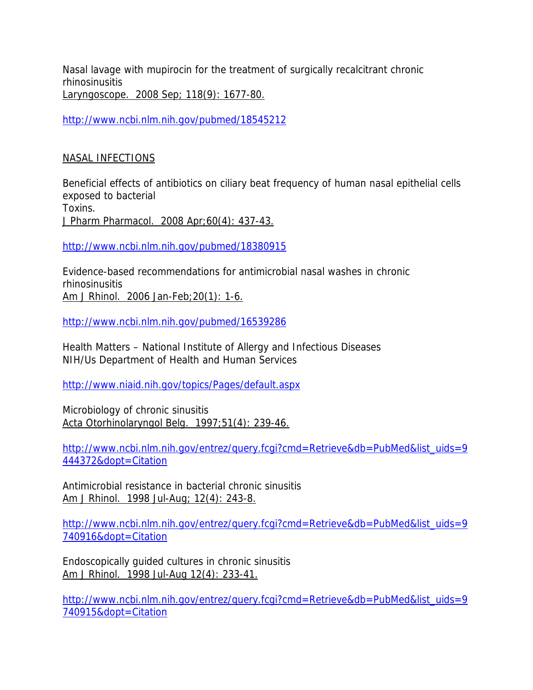Nasal lavage with mupirocin for the treatment of surgically recalcitrant chronic rhinosinusitis Laryngoscope. 2008 Sep; 118(9): 1677-80.

http://www.ncbi.nlm.nih.gov/pubmed/18545212

# NASAL INFECTIONS

Beneficial effects of antibiotics on ciliary beat frequency of human nasal epithelial cells exposed to bacterial Toxins.

J Pharm Pharmacol. 2008 Apr;60(4): 437-43.

http://www.ncbi.nlm.nih.gov/pubmed/18380915

Evidence-based recommendations for antimicrobial nasal washes in chronic rhinosinusitis Am J Rhinol. 2006 Jan-Feb;20(1): 1-6.

http://www.ncbi.nlm.nih.gov/pubmed/16539286

Health Matters – National Institute of Allergy and Infectious Diseases NIH/Us Department of Health and Human Services

http://www.niaid.nih.gov/topics/Pages/default.aspx

Microbiology of chronic sinusitis Acta Otorhinolaryngol Belg. 1997;51(4): 239-46.

http://www.ncbi.nlm.nih.gov/entrez/query.fcgi?cmd=Retrieve&db=PubMed&list\_uids=9 444372&dopt=Citation

Antimicrobial resistance in bacterial chronic sinusitis Am J Rhinol. 1998 Jul-Aug; 12(4): 243-8.

http://www.ncbi.nlm.nih.gov/entrez/query.fcgi?cmd=Retrieve&db=PubMed&list\_uids=9 740916&dopt=Citation

Endoscopically guided cultures in chronic sinusitis Am J Rhinol. 1998 Jul-Aug 12(4): 233-41.

http://www.ncbi.nlm.nih.gov/entrez/query.fcgi?cmd=Retrieve&db=PubMed&list\_uids=9 740915&dopt=Citation